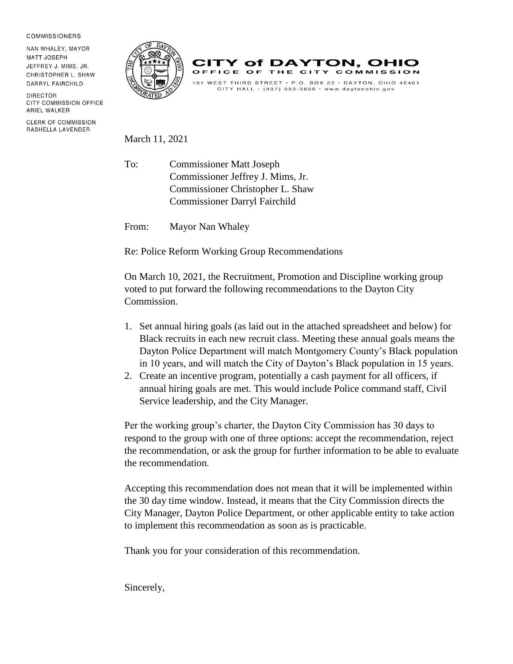## **COMMISSIONERS**

NAN WHALEY, MAYOR **MATT JOSEPH** JEFFREY J. MIMS, JR. CHRISTOPHER L. SHAW DARRYL FAIRCHILD

DIRECTOR CITY COMMISSION OFFICE ARIEL WALKER

**CLERK OF COMMISSION** RASHELLA LAVENDER





## March 11, 2021

To: Commissioner Matt Joseph Commissioner Jeffrey J. Mims, Jr. Commissioner Christopher L. Shaw Commissioner Darryl Fairchild

From: Mayor Nan Whaley

Re: Police Reform Working Group Recommendations

On March 10, 2021, the Recruitment, Promotion and Discipline working group voted to put forward the following recommendations to the Dayton City Commission.

- 1. Set annual hiring goals (as laid out in the attached spreadsheet and below) for Black recruits in each new recruit class. Meeting these annual goals means the Dayton Police Department will match Montgomery County's Black population in 10 years, and will match the City of Dayton's Black population in 15 years.
- 2. Create an incentive program, potentially a cash payment for all officers, if annual hiring goals are met. This would include Police command staff, Civil Service leadership, and the City Manager.

Per the working group's charter, the Dayton City Commission has 30 days to respond to the group with one of three options: accept the recommendation, reject the recommendation, or ask the group for further information to be able to evaluate the recommendation.

Accepting this recommendation does not mean that it will be implemented within the 30 day time window. Instead, it means that the City Commission directs the City Manager, Dayton Police Department, or other applicable entity to take action to implement this recommendation as soon as is practicable.

Thank you for your consideration of this recommendation.

Sincerely,